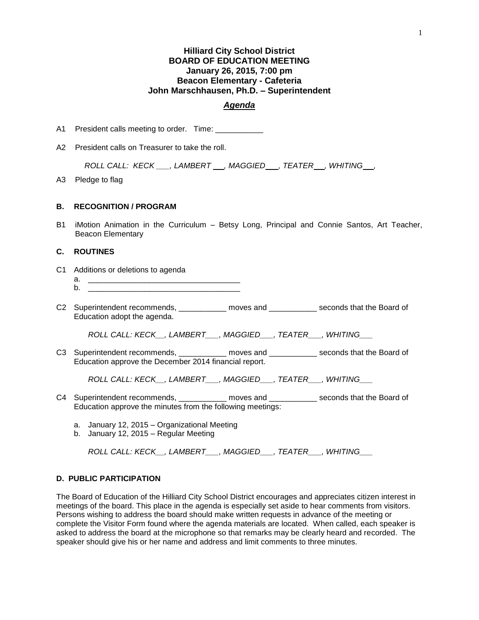# **Hilliard City School District BOARD OF EDUCATION MEETING January 26, 2015, 7:00 pm Beacon Elementary - Cafeteria John Marschhausen, Ph.D. – Superintendent**

### *Agenda*

A1 President calls meeting to order. Time: \_\_\_\_\_\_\_\_\_\_\_

A2 President calls on Treasurer to take the roll.

*ROLL CALL: KECK \_\_\_, LAMBERT \_\_, MAGGIED \_\_, TEATER \_\_, WHITING \_\_,* 

A3 Pledge to flag

### **B. RECOGNITION / PROGRAM**

B1 iMotion Animation in the Curriculum – Betsy Long, Principal and Connie Santos, Art Teacher, Beacon Elementary

## **C. ROUTINES**

- C1 Additions or deletions to agenda
	- a. \_\_\_\_\_\_\_\_\_\_\_\_\_\_\_\_\_\_\_\_\_\_\_\_\_\_\_\_\_\_\_\_\_\_\_ b. \_\_\_\_\_\_\_\_\_\_\_\_\_\_\_\_\_\_\_\_\_\_\_\_\_\_\_\_\_\_\_\_\_\_\_
- C2 Superintendent recommends, \_\_\_\_\_\_\_\_\_\_ moves and \_\_\_\_\_\_\_\_\_\_\_ seconds that the Board of Education adopt the agenda.

*ROLL CALL: KECK\_\_, LAMBERT\_\_\_, MAGGIED\_\_\_, TEATER\_\_\_, WHITING\_\_\_*

C3 Superintendent recommends, \_\_\_\_\_\_\_\_\_\_ moves and \_\_\_\_\_\_\_\_\_\_\_ seconds that the Board of Education approve the December 2014 financial report.

*ROLL CALL: KECK\_\_, LAMBERT\_\_\_, MAGGIED\_\_\_, TEATER\_\_\_, WHITING\_\_\_*

- C4 Superintendent recommends, \_\_\_\_\_\_\_\_\_\_ moves and \_\_\_\_\_\_\_\_\_\_\_ seconds that the Board of Education approve the minutes from the following meetings:
	- a. January 12, 2015 Organizational Meeting
	- b. January 12, 2015 Regular Meeting

*ROLL CALL: KECK\_\_, LAMBERT\_\_\_, MAGGIED\_\_\_, TEATER\_\_\_, WHITING\_\_\_*

### **D. PUBLIC PARTICIPATION**

The Board of Education of the Hilliard City School District encourages and appreciates citizen interest in meetings of the board. This place in the agenda is especially set aside to hear comments from visitors. Persons wishing to address the board should make written requests in advance of the meeting or complete the Visitor Form found where the agenda materials are located. When called, each speaker is asked to address the board at the microphone so that remarks may be clearly heard and recorded. The speaker should give his or her name and address and limit comments to three minutes.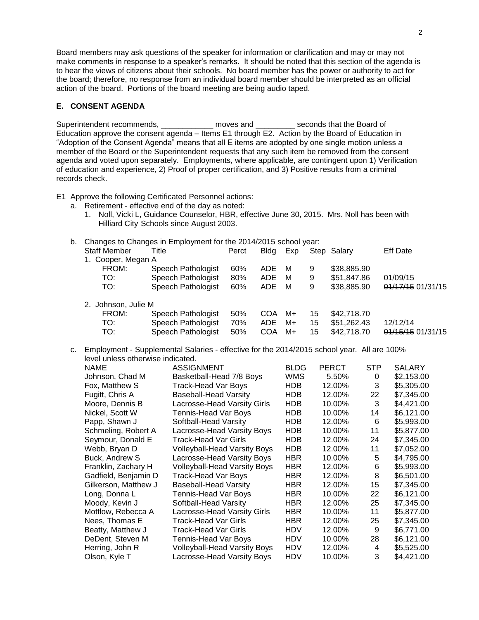Board members may ask questions of the speaker for information or clarification and may or may not make comments in response to a speaker's remarks. It should be noted that this section of the agenda is to hear the views of citizens about their schools. No board member has the power or authority to act for the board; therefore, no response from an individual board member should be interpreted as an official action of the board. Portions of the board meeting are being audio taped.

### **E. CONSENT AGENDA**

Superintendent recommends, \_\_\_\_\_\_\_\_\_\_\_\_\_ moves and \_\_\_\_\_\_\_\_\_ seconds that the Board of Education approve the consent agenda – Items E1 through E2. Action by the Board of Education in "Adoption of the Consent Agenda" means that all E items are adopted by one single motion unless a member of the Board or the Superintendent requests that any such item be removed from the consent agenda and voted upon separately. Employments, where applicable, are contingent upon 1) Verification of education and experience, 2) Proof of proper certification, and 3) Positive results from a criminal records check.

E1 Approve the following Certificated Personnel actions:

- a. Retirement effective end of the day as noted:
	- 1. Noll, Vicki L, Guidance Counselor, HBR, effective June 30, 2015. Mrs. Noll has been with Hilliard City Schools since August 2003.
- b. Changes to Changes in Employment for the 2014/2015 school year:

| <b>Staff Member</b> | Title              | Perct | <b>Bldg</b> | Exp |    | Step Salary | <b>Eff Date</b>   |
|---------------------|--------------------|-------|-------------|-----|----|-------------|-------------------|
| 1. Cooper, Megan A  |                    |       |             |     |    |             |                   |
| FROM:               | Speech Pathologist | 60%   | <b>ADE</b>  | м   | 9  | \$38,885.90 |                   |
| TO:                 | Speech Pathologist | 80%   | <b>ADE</b>  | м   | 9  | \$51,847.86 | 01/09/15          |
| TO:                 | Speech Pathologist | 60%   | <b>ADE</b>  | м   | 9  | \$38,885.90 | 01/17/15 01/31/15 |
| 2. Johnson, Julie M |                    |       |             |     |    |             |                   |
| FROM:               | Speech Pathologist | 50%   | COA         | M+  | 15 | \$42,718.70 |                   |
| TO:                 | Speech Pathologist | 70%   | <b>ADE</b>  | M+  | 15 | \$51,262.43 | 12/12/14          |
| TO:                 | Speech Pathologist | 50%   | COA         | M+  | 15 | \$42,718.70 | 01/15/15 01/31/15 |

c. Employment - Supplemental Salaries - effective for the 2014/2015 school year. All are 100% level unless otherwise indicated.

| <b>NAME</b>          | <b>ASSIGNMENT</b>                   | <b>BLDG</b> | <b>PERCT</b> | <b>STP</b> | <b>SALARY</b> |
|----------------------|-------------------------------------|-------------|--------------|------------|---------------|
| Johnson, Chad M      | Basketball-Head 7/8 Boys            | <b>WMS</b>  | 5.50%        | 0          | \$2,153.00    |
| Fox, Matthew S       | Track-Head Var Boys                 | <b>HDB</b>  | 12.00%       | 3          | \$5,305.00    |
| Fugitt, Chris A      | <b>Baseball-Head Varsity</b>        | <b>HDB</b>  | 12.00%       | 22         | \$7,345.00    |
| Moore, Dennis B      | Lacrosse-Head Varsity Girls         | <b>HDB</b>  | 10.00%       | 3          | \$4,421.00    |
| Nickel, Scott W      | Tennis-Head Var Boys                | HDB         | 10.00%       | 14         | \$6,121.00    |
| Papp, Shawn J        | Softball-Head Varsity               | <b>HDB</b>  | 12.00%       | 6          | \$5,993.00    |
| Schmeling, Robert A  | Lacrosse-Head Varsity Boys          | <b>HDB</b>  | 10.00%       | 11         | \$5,877.00    |
| Seymour, Donald E    | <b>Track-Head Var Girls</b>         | <b>HDB</b>  | 12.00%       | 24         | \$7,345.00    |
| Webb, Bryan D        | <b>Volleyball-Head Varsity Boys</b> | <b>HDB</b>  | 12.00%       | 11         | \$7,052.00    |
| Buck, Andrew S       | Lacrosse-Head Varsity Boys          | <b>HBR</b>  | 10.00%       | 5          | \$4,795.00    |
| Franklin, Zachary H  | <b>Volleyball-Head Varsity Boys</b> | <b>HBR</b>  | 12.00%       | 6          | \$5,993.00    |
| Gadfield, Benjamin D | Track-Head Var Boys                 | <b>HBR</b>  | 12.00%       | 8          | \$6,501.00    |
| Gilkerson, Matthew J | <b>Baseball-Head Varsity</b>        | <b>HBR</b>  | 12.00%       | 15         | \$7,345.00    |
| Long, Donna L        | Tennis-Head Var Boys                | HBR         | 10.00%       | 22         | \$6,121.00    |
| Moody, Kevin J       | Softball-Head Varsity               | <b>HBR</b>  | 12.00%       | 25         | \$7,345.00    |
| Mottlow, Rebecca A   | Lacrosse-Head Varsity Girls         | <b>HBR</b>  | 10.00%       | 11         | \$5,877.00    |
| Nees, Thomas E       | Track-Head Var Girls                | <b>HBR</b>  | 12.00%       | 25         | \$7,345.00    |
| Beatty, Matthew J    | Track-Head Var Girls                | HDV         | 12.00%       | 9          | \$6,771.00    |
| DeDent, Steven M     | Tennis-Head Var Boys                | <b>HDV</b>  | 10.00%       | 28         | \$6,121.00    |
| Herring, John R      | <b>Volleyball-Head Varsity Boys</b> | <b>HDV</b>  | 12.00%       | 4          | \$5,525.00    |
| Olson, Kyle T        | Lacrosse-Head Varsity Boys          | <b>HDV</b>  | 10.00%       | 3          | \$4,421.00    |
|                      |                                     |             |              |            |               |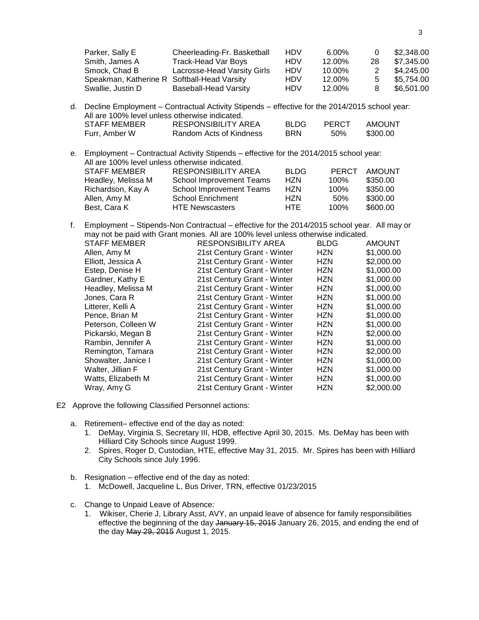| Parker, Sally E                                | Cheerleading-Fr. Basketball                                                                      | <b>HDV</b>  | 6.00%        | 0             | \$2,348.00 |
|------------------------------------------------|--------------------------------------------------------------------------------------------------|-------------|--------------|---------------|------------|
| Smith, James A                                 | <b>Track-Head Var Boys</b>                                                                       | <b>HDV</b>  | 12.00%       | 28            | \$7,345.00 |
| Smock, Chad B                                  | Lacrosse-Head Varsity Girls                                                                      | <b>HDV</b>  | 10.00%       | 2             | \$4,245.00 |
| Speakman, Katherine R Softball-Head Varsity    |                                                                                                  | <b>HDV</b>  | 12.00%       | 5             | \$5,754.00 |
| Swallie, Justin D                              | <b>Baseball-Head Varsity</b>                                                                     | <b>HDV</b>  | 12.00%       | 8             | \$6,501.00 |
| All are 100% level unless otherwise indicated. | d. Decline Employment - Contractual Activity Stipends - effective for the 2014/2015 school year: |             |              |               |            |
| <b>STAFF MEMBER</b>                            | <b>RESPONSIBILITY AREA</b>                                                                       | <b>BLDG</b> | <b>PERCT</b> | <b>AMOUNT</b> |            |
|                                                |                                                                                                  |             |              |               |            |
| Furr, Amber W                                  | Random Acts of Kindness                                                                          | <b>BRN</b>  | 50%          | \$300.00      |            |

e. Employment – Contractual Activity Stipends – effective for the 2014/2015 school year: All are 100% level unless otherwise indicated. STAFF MEMBER RESPONSIBILITY AREA BLDG PERCT AMOUNT Headley, Melissa M School Improvement Teams HZN 100% \$350.00 Richardson, Kay A School Improvement Teams HZN 100% \$350.00 Allen, Amy M School Enrichment HZN 50% \$300.00 HTE Newscasters HTE 100% \$600.00

f. Employment – Stipends-Non Contractual – effective for the 2014/2015 school year. All may or may not be paid with Grant monies. All are 100% level unless otherwise indicated.

| <b>STAFF MEMBER</b> | <b>RESPONSIBILITY AREA</b>  | <b>BLDG</b> | <b>AMOUNT</b> |
|---------------------|-----------------------------|-------------|---------------|
| Allen, Amy M        | 21st Century Grant - Winter | HZN         | \$1,000.00    |
| Elliott, Jessica A  | 21st Century Grant - Winter | HZN         | \$2,000.00    |
| Estep, Denise H     | 21st Century Grant - Winter | HZN         | \$1,000.00    |
| Gardner, Kathy E    | 21st Century Grant - Winter | HZN         | \$1,000.00    |
| Headley, Melissa M  | 21st Century Grant - Winter | HZN         | \$1,000.00    |
| Jones, Cara R       | 21st Century Grant - Winter | HZN         | \$1,000.00    |
| Litterer, Kelli A   | 21st Century Grant - Winter | HZN         | \$1,000.00    |
| Pence, Brian M      | 21st Century Grant - Winter | <b>HZN</b>  | \$1,000.00    |
| Peterson, Colleen W | 21st Century Grant - Winter | HZN         | \$1,000.00    |
| Pickarski, Megan B  | 21st Century Grant - Winter | HZN         | \$2,000.00    |
| Rambin, Jennifer A  | 21st Century Grant - Winter | HZN         | \$1,000.00    |
| Remington, Tamara   | 21st Century Grant - Winter | HZN         | \$2,000.00    |
| Showalter, Janice I | 21st Century Grant - Winter | HZN         | \$1,000.00    |
| Walter, Jillian F   | 21st Century Grant - Winter | HZN         | \$1,000.00    |
| Watts, Elizabeth M  | 21st Century Grant - Winter | HZN         | \$1,000.00    |
| Wray, Amy G         | 21st Century Grant - Winter | HZN         | \$2,000.00    |

- E2 Approve the following Classified Personnel actions:
	- a. Retirement– effective end of the day as noted:
		- 1. DeMay, Virginia S, Secretary III, HDB, effective April 30, 2015. Ms. DeMay has been with Hilliard City Schools since August 1999.
		- 2. Spires, Roger D, Custodian, HTE, effective May 31, 2015. Mr. Spires has been with Hilliard City Schools since July 1996.
	- b. Resignation effective end of the day as noted:
		- 1. McDowell, Jacqueline L, Bus Driver, TRN, effective 01/23/2015
	- c. Change to Unpaid Leave of Absence:
		- 1. Wikiser, Cherie J, Library Asst, AVY, an unpaid leave of absence for family responsibilities effective the beginning of the day January 15, 2015 January 26, 2015, and ending the end of the day May 29, 2015 August 1, 2015.